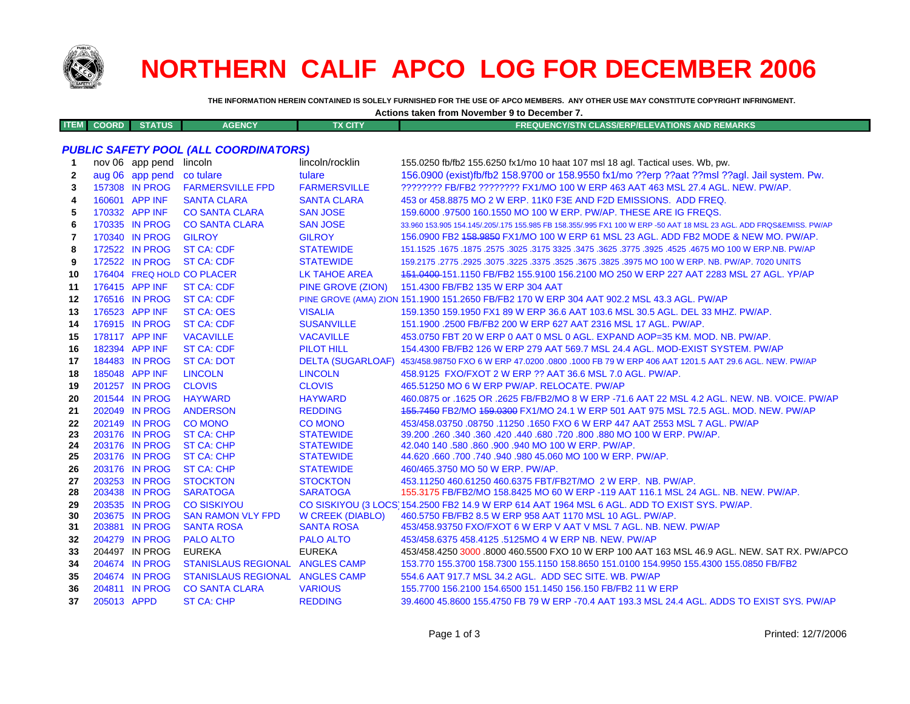

# **NORTHERN CALIF APCO LOG FOR DECEMBER 2006**

**THE INFORMATION HEREIN CONTAINED IS SOLELY FURNISHED FOR THE USE OF APCO MEMBERS. ANY OTHER USE MAY CONSTITUTE COPYRIGHT INFRINGMENT.**

| Actions taken from November 9 to December 7. |                   |            |               |                |                                                  |
|----------------------------------------------|-------------------|------------|---------------|----------------|--------------------------------------------------|
|                                              | <b>ITEM COORD</b> | <b>STA</b> | <b>AGENCY</b> | <b>TX CITY</b> | FREQUENCY/STN CLASS/ERP/ELEVATIONS AND REMARKS \ |

## *PUBLIC SAFETY POOL (ALL COORDINATORS)*

| 1            |             | nov 06 app pend                  | lincoln                                        | lincoln/rocklin          | 155.0250 fb/fb2 155.6250 fx1/mo 10 haat 107 msl 18 agl. Tactical uses. Wb, pw.                                                                            |
|--------------|-------------|----------------------------------|------------------------------------------------|--------------------------|-----------------------------------------------------------------------------------------------------------------------------------------------------------|
| $\mathbf{2}$ |             | aug 06 app pend                  | co tulare                                      | tulare                   | 156.0900 (exist)fb/fb2 158.9700 or 158.9550 fx1/mo ??erp ??aat ??msl ??agl. Jail system. Pw.                                                              |
| 3            |             | 157308 IN PROG                   | <b>FARMERSVILLE FPD</b>                        | <b>FARMERSVILLE</b>      | ???????? FB/FB2 ???????? FX1/MO 100 W ERP 463 AAT 463 MSL 27.4 AGL. NEW. PW/AP.                                                                           |
| 4            |             | 160601 APP INF                   | <b>SANTA CLARA</b>                             | <b>SANTA CLARA</b>       | 453 or 458,8875 MO 2 W ERP, 11K0 F3E AND F2D EMISSIONS. ADD FREQ.                                                                                         |
| 5            |             | 170332 APP INF                   | <b>CO SANTA CLARA</b>                          | <b>SAN JOSE</b>          | 159,6000 .97500 160,1550 MO 100 W ERP. PW/AP. THESE ARE IG FREQS.                                                                                         |
| 6            |             | 170335 IN PROG                   | <b>CO SANTA CLARA</b>                          | <b>SAN JOSE</b>          | 33.960 153.905 154.145/.205/.175 155.985 FB 158.355/.995 FX1 100 W ERP -50 AAT 18 MSL 23 AGL. ADD FRQS&EMISS. PW/AP                                       |
| 7            |             | 170340 IN PROG                   | <b>GILROY</b>                                  | <b>GILROY</b>            | 156.0900 FB2 158.9850 FX1/MO 100 W ERP 61 MSL 23 AGL. ADD FB2 MODE & NEW MO. PW/AP.                                                                       |
| 8            |             | 172522 IN PROG                   | <b>ST CA: CDF</b>                              | <b>STATEWIDE</b>         | 151.1525 .1675 .1875 .3025 .3475 .3625 .3775 .3925 .3775 .3925 .3775 .3925 .4675 .1675 .1675 .1875 .                                                      |
| 9            |             | 172522 IN PROG                   | <b>ST CA: CDF</b>                              | <b>STATEWIDE</b>         | 159,2175, 2775 .2925 .3075 .3225 .3375 .3525 .3675 .3825 .3975 MO 100 W ERP, NB, PW/AP, 7020 UNITS                                                        |
| 10           |             |                                  | 176404 FREQ HOLD CO PLACER                     | <b>LK TAHOE AREA</b>     | 451.0400-151.1150 FB/FB2 155.9100 156.2100 MO 250 W ERP 227 AAT 2283 MSL 27 AGL. YP/AP                                                                    |
| 11           |             | 176415 APP INF                   | ST CA: CDF                                     | PINE GROVE (ZION)        | 151.4300 FB/FB2 135 W ERP 304 AAT                                                                                                                         |
| 12           |             | 176516 IN PROG                   | <b>ST CA: CDF</b>                              |                          | PINE GROVE (AMA) ZION 151.1900 151.2650 FB/FB2 170 W ERP 304 AAT 902.2 MSL 43.3 AGL. PW/AP                                                                |
| 13           |             | 176523 APP INF                   | <b>ST CA: OES</b>                              | <b>VISALIA</b>           | 159.1350 159.1950 FX1 89 W ERP 36.6 AAT 103.6 MSL 30.5 AGL. DEL 33 MHZ. PW/AP.                                                                            |
| 14           |             | 176915 IN PROG                   | <b>ST CA: CDF</b>                              | <b>SUSANVILLE</b>        | 151.1900 .2500 FB/FB2 200 W ERP 627 AAT 2316 MSL 17 AGL, PW/AP.                                                                                           |
| 15           |             | 178117 APP INF                   | <b>VACAVILLE</b>                               | <b>VACAVILLE</b>         | 453.0750 FBT 20 W ERP 0 AAT 0 MSL 0 AGL. EXPAND AOP=35 KM. MOD. NB. PW/AP.                                                                                |
| 16           |             | 182394 APP INF                   | ST CA: CDF                                     | <b>PILOT HILL</b>        | 154,4300 FB/FB2 126 W ERP 279 AAT 569.7 MSL 24.4 AGL, MOD-EXIST SYSTEM, PW/AP                                                                             |
| 17           |             | 184483 IN PROG                   | <b>ST CA: DOT</b>                              | <b>DELTA (SUGARLOAF)</b> | 453/458.98750 FXO 6 W ERP 47.0200 .0800 .1000 FB 79 W ERP 406 AAT 1201.5 AAT 29.6 AGL. NEW. PW/AP                                                         |
| 18           |             | 185048 APP INF                   | <b>LINCOLN</b>                                 | <b>LINCOLN</b>           | 458.9125 FXO/FXOT 2 W ERP ?? AAT 36.6 MSL 7.0 AGL. PW/AP.                                                                                                 |
| 19           |             | 201257 IN PROG                   | <b>CLOVIS</b>                                  | <b>CLOVIS</b>            | 465.51250 MO 6 W ERP PW/AP, RELOCATE, PW/AP                                                                                                               |
| 20           |             | 201544 IN PROG                   | <b>HAYWARD</b>                                 | <b>HAYWARD</b>           | 460.0875 or .1625 OR .2625 FB/FB2/MO 8 W ERP -71.6 AAT 22 MSL 4.2 AGL. NEW. NB. VOICE. PW/AP                                                              |
| 21           |             | 202049 IN PROG                   | <b>ANDERSON</b>                                | <b>REDDING</b>           | 155,7450 FB2/MO 159,0300 FX1/MO 24.1 W ERP 501 AAT 975 MSL 72.5 AGL, MOD, NEW, PW/AP                                                                      |
| 22           |             | 202149 IN PROG                   | <b>CO MONO</b>                                 | <b>CO MONO</b>           | 453/458.03750.08750.11250.1650 FXO 6 W ERP 447 AAT 2553 MSL 7 AGL, PW/AP                                                                                  |
| 23           |             | 203176 IN PROG                   | <b>ST CA: CHP</b>                              | <b>STATEWIDE</b>         | 39.200 .260 .340 .360 .420 .440 .680 .720 .800 .880 MO 100 W ERP. PW/AP.                                                                                  |
| 24           |             | 203176 IN PROG                   | <b>ST CA: CHP</b>                              | <b>STATEWIDE</b>         | 42.040 140 .580 .860 .900 .940 MO 100 W ERP. PW/AP.                                                                                                       |
| 25           |             |                                  | 203176 IN PROG ST CA: CHP                      | <b>STATEWIDE</b>         | 44.620 .660 .700 .740 .940 .980 45.060 MO 100 W ERP. PW/AP.                                                                                               |
| 26           |             | 203176 IN PROG                   | <b>ST CA: CHP</b>                              | <b>STATEWIDE</b>         | 460/465.3750 MO 50 W ERP. PW/AP.                                                                                                                          |
| 27           |             | 203253 IN PROG                   | <b>STOCKTON</b>                                | <b>STOCKTON</b>          | 453.11250 460.61250 460.6375 FBT/FB2T/MO 2 W ERP. NB. PW/AP.                                                                                              |
| 28           |             | 203438 IN PROG                   | <b>SARATOGA</b>                                | <b>SARATOGA</b>          | 155.3175 FB/FB2/MO 158.8425 MO 60 W ERP -119 AAT 116.1 MSL 24 AGL. NB. NEW. PW/AP.                                                                        |
| 29<br>30     |             | 203535 IN PROG<br>203675 IN PROG | <b>CO SISKIYOU</b><br><b>SAN RAMON VLY FPD</b> | <b>W CREEK (DIABLO)</b>  | CO SISKIYOU (3 LOCS 154.2500 FB2 14.9 W ERP 614 AAT 1964 MSL 6 AGL. ADD TO EXIST SYS. PW/AP.<br>460.5750 FB/FB2 8.5 W ERP 958 AAT 1170 MSL 10 AGL, PW/AP. |
| 31           |             | 203881 IN PROG                   | <b>SANTA ROSA</b>                              | <b>SANTA ROSA</b>        | 453/458.93750 FXO/FXOT 6 W ERP V AAT V MSL 7 AGL. NB. NEW. PW/AP                                                                                          |
| 32           |             | 204279 IN PROG                   | <b>PALO ALTO</b>                               | <b>PALO ALTO</b>         | 453/458.6375 458.4125 .5125MO 4 W ERP NB, NEW, PW/AP                                                                                                      |
| 33           |             | 204497 IN PROG                   | <b>EUREKA</b>                                  | <b>EUREKA</b>            | 453/458.4250 3000 .8000 460.5500 FXO 10 W ERP 100 AAT 163 MSL 46.9 AGL. NEW. SAT RX. PW/APCO                                                              |
| 34           |             | 204674 IN PROG                   | STANISLAUS REGIONAL ANGLES CAMP                |                          | 153.770 155.3700 158.7300 155.1150 158.8650 151.0100 154.9950 155.4300 155.0850 FB/FB2                                                                    |
| 35           |             | 204674 IN PROG                   | STANISLAUS REGIONAL ANGLES CAMP                |                          | 554.6 AAT 917.7 MSL 34.2 AGL. ADD SEC SITE. WB. PW/AP                                                                                                     |
| 36           |             | 204811 IN PROG                   | <b>CO SANTA CLARA</b>                          | <b>VARIOUS</b>           | 155,7700 156,2100 154,6500 151,1450 156,150 FB/FB2 11 W ERP                                                                                               |
| 37           | 205013 APPD |                                  | <b>ST CA: CHP</b>                              | <b>REDDING</b>           | 39.4600 45.8600 155.4750 FB 79 W ERP -70.4 AAT 193.3 MSL 24.4 AGL. ADDS TO EXIST SYS. PW/AP                                                               |
|              |             |                                  |                                                |                          |                                                                                                                                                           |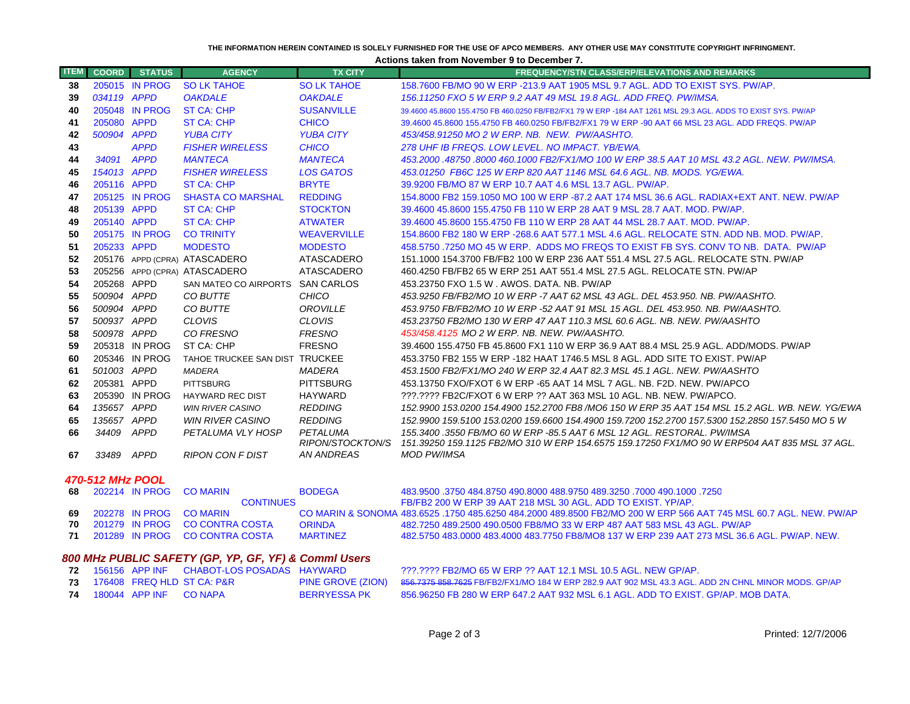#### **THE INFORMATION HEREIN CONTAINED IS SOLELY FURNISHED FOR THE USE OF APCO MEMBERS. ANY OTHER USE MAY CONSTITUTE COPYRIGHT INFRINGMENT.**

**Actions taken from November 9 to December 7.**

| <b>ITEM</b> | <b>COORD</b>     | <b>STATUS</b>  | <b>AGENCY</b>                    | <b>TX CITY</b>               | <b>FREQUENCY/STN CLASS/ERP/ELEVATIONS AND REMARKS</b>                                                                                                                    |
|-------------|------------------|----------------|----------------------------------|------------------------------|--------------------------------------------------------------------------------------------------------------------------------------------------------------------------|
| 38          |                  | 205015 IN PROG | <b>SO LK TAHOE</b>               | <b>SO LK TAHOE</b>           | 158,7600 FB/MO 90 W ERP -213.9 AAT 1905 MSL 9.7 AGL, ADD TO EXIST SYS, PW/AP.                                                                                            |
| 39          | 034119 APPD      |                | <b>OAKDALE</b>                   | <b>OAKDALE</b>               | 156.11250 FXO 5 W ERP 9.2 AAT 49 MSL 19.8 AGL, ADD FREQ, PW/IMSA.                                                                                                        |
| 40          |                  | 205048 IN PROG | <b>ST CA: CHP</b>                | <b>SUSANVILLE</b>            | 39.4600 45.8600 155.4750 FB 460.0250 FB/FB2/FX1 79 W ERP -184 AAT 1261 MSL 29.3 AGL, ADDS TO EXIST SYS, PW/AP                                                            |
| 41          | 205080 APPD      |                | ST CA: CHP                       | <b>CHICO</b>                 | 39.4600 45.8600 155.4750 FB 460.0250 FB/FB2/FX1 79 W ERP -90 AAT 66 MSL 23 AGL, ADD FREQS, PW/AP                                                                         |
| 42          | 500904 APPD      |                | <b>YUBA CITY</b>                 | <b>YUBA CITY</b>             | 453/458.91250 MO 2 W ERP. NB. NEW. PW/AASHTO.                                                                                                                            |
| 43          |                  | <b>APPD</b>    | <b>FISHER WIRELESS</b>           | <b>CHICO</b>                 | 278 UHF IB FREQS, LOW LEVEL, NO IMPACT, YB/EWA,                                                                                                                          |
| 44          | 34091            | <b>APPD</b>    | <b>MANTECA</b>                   | <b>MANTECA</b>               | 453,2000 .48750 .8000 460.1000 FB2/FX1/MO 100 W ERP 38.5 AAT 10 MSL 43.2 AGL. NEW. PW/IMSA.                                                                              |
| 45          | 154013 APPD      |                | <b>FISHER WIRELESS</b>           | <b>LOS GATOS</b>             | 453.01250 FB6C 125 W ERP 820 AAT 1146 MSL 64.6 AGL, NB, MODS, YG/EWA,                                                                                                    |
| 46          | 205116 APPD      |                | <b>ST CA: CHP</b>                | <b>BRYTE</b>                 | 39.9200 FB/MO 87 W ERP 10.7 AAT 4.6 MSL 13.7 AGL, PW/AP.                                                                                                                 |
| 47          |                  | 205125 IN PROG | <b>SHASTA CO MARSHAL</b>         | <b>REDDING</b>               | 154,8000 FB2 159,1050 MO 100 W ERP -87,2 AAT 174 MSL 36.6 AGL, RADIAX+EXT ANT, NEW, PW/AP                                                                                |
| 48          | 205139 APPD      |                | <b>ST CA: CHP</b>                | <b>STOCKTON</b>              | 39.4600 45.8600 155.4750 FB 110 W ERP 28 AAT 9 MSL 28.7 AAT. MOD. PW/AP.                                                                                                 |
| 49          | 205140 APPD      |                | <b>ST CA: CHP</b>                | <b>ATWATER</b>               | 39.4600 45.8600 155.4750 FB 110 W ERP 28 AAT 44 MSL 28.7 AAT, MOD, PW/AP.                                                                                                |
| 50          |                  | 205175 IN PROG | <b>CO TRINITY</b>                | <b>WEAVERVILLE</b>           | 154,8600 FB2 180 W ERP -268.6 AAT 577.1 MSL 4.6 AGL, RELOCATE STN, ADD NB, MOD, PW/AP,                                                                                   |
| -51         | 205233 APPD      |                | <b>MODESTO</b>                   | <b>MODESTO</b>               | 458,5750,7250 MO 45 W ERP. ADDS MO FREQS TO EXIST FB SYS, CONV TO NB. DATA. PW/AP                                                                                        |
| 52          |                  |                | 205176 APPD (CPRA) ATASCADERO    | ATASCADERO                   | 151.1000 154.3700 FB/FB2 100 W ERP 236 AAT 551.4 MSL 27.5 AGL. RELOCATE STN, PW/AP                                                                                       |
| 53          |                  |                | 205256 APPD (CPRA) ATASCADERO    | ATASCADERO                   | 460.4250 FB/FB2 65 W ERP 251 AAT 551.4 MSL 27.5 AGL, RELOCATE STN, PW/AP                                                                                                 |
| 54          | 205268 APPD      |                | SAN MATEO CO AIRPORTS SAN CARLOS |                              | 453.23750 FXO 1.5 W . AWOS. DATA. NB. PW/AP                                                                                                                              |
| 55          | 500904 APPD      |                | CO BUTTE                         | CHICO                        | 453.9250 FB/FB2/MO 10 W ERP -7 AAT 62 MSL 43 AGL. DEL 453.950. NB. PW/AASHTO.                                                                                            |
| 56          | 500904 APPD      |                | CO BUTTE                         | <b>OROVILLE</b>              | 453.9750 FB/FB2/MO 10 W ERP -52 AAT 91 MSL 15 AGL. DEL 453.950. NB. PW/AASHTO.                                                                                           |
| 57          | 500937 APPD      |                | <b>CLOVIS</b>                    | <b>CLOVIS</b>                | 453.23750 FB2/MO 130 W ERP 47 AAT 110.3 MSL 60.6 AGL. NB. NEW. PW/AASHTO                                                                                                 |
| 58          | 500978 APPD      |                | CO FRESNO                        | <b>FRESNO</b>                | 453/458.4125 MO 2 W ERP. NB. NEW. PW/AASHTO.                                                                                                                             |
| 59          |                  | 205318 IN PROG | ST CA: CHP                       | <b>FRESNO</b>                | 39.4600 155.4750 FB 45.8600 FX1 110 W ERP 36.9 AAT 88.4 MSL 25.9 AGL, ADD/MODS, PW/AP                                                                                    |
| 60          |                  | 205346 IN PROG | TAHOE TRUCKEE SAN DIST TRUCKEE   |                              | 453.3750 FB2 155 W ERP -182 HAAT 1746.5 MSL 8 AGL. ADD SITE TO EXIST. PW/AP                                                                                              |
| 61          | 501003 APPD      |                | <b>MADERA</b>                    | <b>MADERA</b>                | 453.1500 FB2/FX1/MO 240 W ERP 32.4 AAT 82.3 MSL 45.1 AGL. NEW. PW/AASHTO                                                                                                 |
| 62          | 205381 APPD      |                | <b>PITTSBURG</b>                 | <b>PITTSBURG</b>             | 453.13750 FXO/FXOT 6 W ERP -65 AAT 14 MSL 7 AGL. NB. F2D. NEW. PW/APCO                                                                                                   |
| 63          |                  | 205390 IN PROG | <b>HAYWARD REC DIST</b>          | <b>HAYWARD</b>               | 222.2222 FB2C/FXOT 6 W ERP 22 AAT 363 MSL 10 AGL, NB, NEW, PW/APCO,                                                                                                      |
| 64          | 135657 APPD      |                | <b>WIN RIVER CASINO</b>          | <b>REDDING</b>               | 152.9900 153.0200 154.4900 152.2700 FB8 /MO6 150 W ERP 35 AAT 154 MSL 15.2 AGL. WB. NEW. YG/EWA                                                                          |
| 65          | 135657 APPD      |                | WIN RIVER CASINO                 | <b>REDDING</b>               | 152.9900 159.5100 153.0200 159.6600 154.4900 159.7200 152.2700 157.5300 152.2850 157.5450 MO 5 W                                                                         |
| 66          | 34409            | <b>APPD</b>    | PETALUMA VLY HOSP                | PETALUMA<br>RIPON/STOCKTON/S | 155.3400, 3550 FB/MO 60 W ERP -85.5 AAT 6 MSL 12 AGL, RESTORAL, PW/IMSA<br>151.39250 159.1125 FB2/MO 310 W ERP 154.6575 159.17250 FX1/MO 90 W ERP504 AAT 835 MSL 37 AGL. |
| 67          | 33489            | <b>APPD</b>    | <b>RIPON CON F DIST</b>          | AN ANDREAS                   | <b>MOD PW/IMSA</b>                                                                                                                                                       |
|             | 470-512 MHz POOL |                |                                  |                              |                                                                                                                                                                          |
| 68          |                  | 202214 IN PROG | <b>CO MARIN</b>                  | <b>BODEGA</b>                | 483,9500 .3750 484.8750 490.8000 488.9750 489.3250 .7000 490.1000 .7250                                                                                                  |

|  | 68 202214 IN PROG CO MARIN |  |
|--|----------------------------|--|
|  | 69 202278 IN PROG CO MARIN |  |

**70**

**71**

|  | <u>וט-ס'וב ואחון או כ-טי</u> |                                  |                 |                                                                                                                   |
|--|------------------------------|----------------------------------|-----------------|-------------------------------------------------------------------------------------------------------------------|
|  |                              | 8 202214 IN PROG CO MARIN        | <b>BODFGA</b>   | 483,9500 .3750 484 8750 490 8000 488 9750 489 3250 .7000 490 1000 .7250                                           |
|  |                              | <b>CONTINUES</b>                 |                 | FB/FB2 200 W ERP 39 AAT 218 MSL 30 AGL. ADD TO EXIST, YP/AP.                                                      |
|  |                              | 9 202278 IN PROG CO MARIN        |                 | CO MARIN & SONOMA 483,6525 .1750 485,6250 484,2000 489,8500 FB2/MO 200 W ERP 566 AAT 745 MSL 60.7 AGL, NEW, PW/AP |
|  |                              | 0 201279 IN PROG CO CONTRA COSTA | <b>ORINDA</b>   | 482 7250 489 2500 490 0500 FB8/MO 33 W FRP 487 AAT 583 MSL 43 AGL. PW/AP                                          |
|  |                              | 201289 IN PROG CO CONTRA COSTA   | <b>MARTINEZ</b> | .482.5750 483.0000 483.4000 483.7750 FB8/MO8 137 W ERP 239 AAT 273 MSL 36.6 AGL. PW/AP. NEW                       |

# *800 MHz PUBLIC SAFETY (GP, YP, GF, YF) & Comml Users*

|  |                                  | <b>72</b> 156156 APP INF    CHABOT-LOS POSADAS    HAYWARD |              | 222.2222 FB2/MO 65 W ERP 22 AAT 12.1 MSL 10.5 AGL. NEW GP/AP.                                                         |
|--|----------------------------------|-----------------------------------------------------------|--------------|-----------------------------------------------------------------------------------------------------------------------|
|  |                                  | <b>73 176408 FREQ HLD ST CA: P&amp;R</b>                  |              | PINE GROVE (ZION) 856.7375 858.7625 FB/FB2/FX1/MO 184 W ERP 282.9 AAT 902 MSL 43.3 AGL. ADD 2N CHNL MINOR MODS. GP/AP |
|  | <b>74 180044 APP INF CO NAPA</b> |                                                           | BERRYESSA PK | 856,96250 FB 280 W ERP 647.2 AAT 932 MSL 6.1 AGL, ADD TO EXIST, GP/AP, MOB DATA,                                      |

 $\sim$